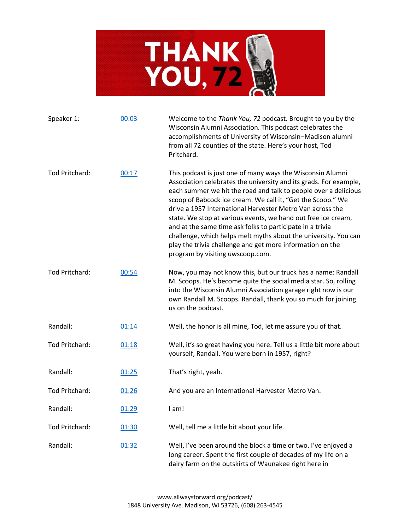

| Speaker 1:     | 00:03 | Welcome to the Thank You, 72 podcast. Brought to you by the<br>Wisconsin Alumni Association. This podcast celebrates the<br>accomplishments of University of Wisconsin-Madison alumni<br>from all 72 counties of the state. Here's your host, Tod<br>Pritchard.                                                                                                                                                                                                                                                                                                                                                                  |
|----------------|-------|----------------------------------------------------------------------------------------------------------------------------------------------------------------------------------------------------------------------------------------------------------------------------------------------------------------------------------------------------------------------------------------------------------------------------------------------------------------------------------------------------------------------------------------------------------------------------------------------------------------------------------|
| Tod Pritchard: | 00:17 | This podcast is just one of many ways the Wisconsin Alumni<br>Association celebrates the university and its grads. For example,<br>each summer we hit the road and talk to people over a delicious<br>scoop of Babcock ice cream. We call it, "Get the Scoop." We<br>drive a 1957 International Harvester Metro Van across the<br>state. We stop at various events, we hand out free ice cream,<br>and at the same time ask folks to participate in a trivia<br>challenge, which helps melt myths about the university. You can<br>play the trivia challenge and get more information on the<br>program by visiting uwscoop.com. |
| Tod Pritchard: | 00:54 | Now, you may not know this, but our truck has a name: Randall<br>M. Scoops. He's become quite the social media star. So, rolling<br>into the Wisconsin Alumni Association garage right now is our<br>own Randall M. Scoops. Randall, thank you so much for joining<br>us on the podcast.                                                                                                                                                                                                                                                                                                                                         |
| Randall:       | 01:14 | Well, the honor is all mine, Tod, let me assure you of that.                                                                                                                                                                                                                                                                                                                                                                                                                                                                                                                                                                     |
| Tod Pritchard: | 01:18 | Well, it's so great having you here. Tell us a little bit more about<br>yourself, Randall. You were born in 1957, right?                                                                                                                                                                                                                                                                                                                                                                                                                                                                                                         |
| Randall:       | 01:25 | That's right, yeah.                                                                                                                                                                                                                                                                                                                                                                                                                                                                                                                                                                                                              |
| Tod Pritchard: | 01:26 | And you are an International Harvester Metro Van.                                                                                                                                                                                                                                                                                                                                                                                                                                                                                                                                                                                |
| Randall:       | 01:29 | I am!                                                                                                                                                                                                                                                                                                                                                                                                                                                                                                                                                                                                                            |
| Tod Pritchard: | 01:30 | Well, tell me a little bit about your life.                                                                                                                                                                                                                                                                                                                                                                                                                                                                                                                                                                                      |
| Randall:       | 01:32 | Well, I've been around the block a time or two. I've enjoyed a<br>long career. Spent the first couple of decades of my life on a<br>dairy farm on the outskirts of Waunakee right here in                                                                                                                                                                                                                                                                                                                                                                                                                                        |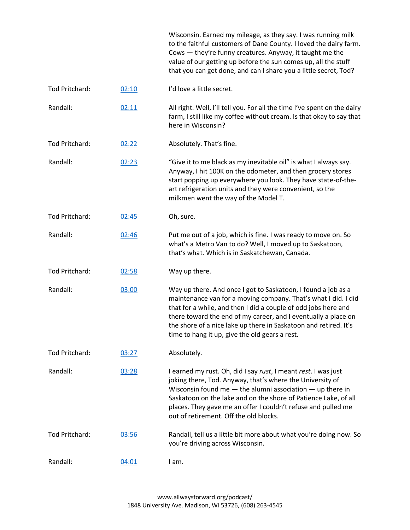|                |       | Wisconsin. Earned my mileage, as they say. I was running milk<br>to the faithful customers of Dane County. I loved the dairy farm.<br>Cows - they're funny creatures. Anyway, it taught me the<br>value of our getting up before the sun comes up, all the stuff<br>that you can get done, and can I share you a little secret, Tod?                                                      |
|----------------|-------|-------------------------------------------------------------------------------------------------------------------------------------------------------------------------------------------------------------------------------------------------------------------------------------------------------------------------------------------------------------------------------------------|
| Tod Pritchard: | 02:10 | I'd love a little secret.                                                                                                                                                                                                                                                                                                                                                                 |
| Randall:       | 02:11 | All right. Well, I'll tell you. For all the time I've spent on the dairy<br>farm, I still like my coffee without cream. Is that okay to say that<br>here in Wisconsin?                                                                                                                                                                                                                    |
| Tod Pritchard: | 02:22 | Absolutely. That's fine.                                                                                                                                                                                                                                                                                                                                                                  |
| Randall:       | 02:23 | "Give it to me black as my inevitable oil" is what I always say.<br>Anyway, I hit 100K on the odometer, and then grocery stores<br>start popping up everywhere you look. They have state-of-the-<br>art refrigeration units and they were convenient, so the<br>milkmen went the way of the Model T.                                                                                      |
| Tod Pritchard: | 02:45 | Oh, sure.                                                                                                                                                                                                                                                                                                                                                                                 |
| Randall:       | 02:46 | Put me out of a job, which is fine. I was ready to move on. So<br>what's a Metro Van to do? Well, I moved up to Saskatoon,<br>that's what. Which is in Saskatchewan, Canada.                                                                                                                                                                                                              |
| Tod Pritchard: | 02:58 | Way up there.                                                                                                                                                                                                                                                                                                                                                                             |
| Randall:       | 03:00 | Way up there. And once I got to Saskatoon, I found a job as a<br>maintenance van for a moving company. That's what I did. I did<br>that for a while, and then I did a couple of odd jobs here and<br>there toward the end of my career, and I eventually a place on<br>the shore of a nice lake up there in Saskatoon and retired. It's<br>time to hang it up, give the old gears a rest. |
| Tod Pritchard: | 03:27 | Absolutely.                                                                                                                                                                                                                                                                                                                                                                               |
| Randall:       | 03:28 | I earned my rust. Oh, did I say rust, I meant rest. I was just<br>joking there, Tod. Anyway, that's where the University of<br>Wisconsin found me $-$ the alumni association $-$ up there in<br>Saskatoon on the lake and on the shore of Patience Lake, of all<br>places. They gave me an offer I couldn't refuse and pulled me<br>out of retirement. Off the old blocks.                |
| Tod Pritchard: | 03:56 | Randall, tell us a little bit more about what you're doing now. So<br>you're driving across Wisconsin.                                                                                                                                                                                                                                                                                    |
| Randall:       | 04:01 | I am.                                                                                                                                                                                                                                                                                                                                                                                     |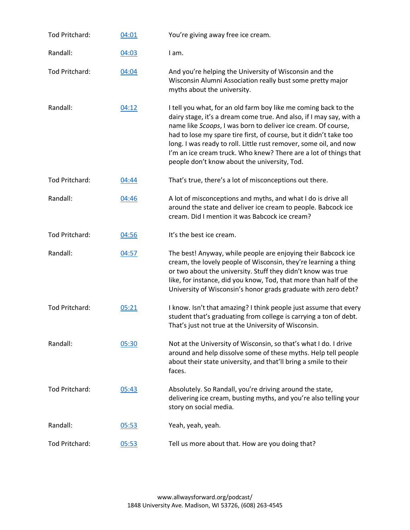| Tod Pritchard: | 04:01 | You're giving away free ice cream.                                                                                                                                                                                                                                                                                                                                                                                                                                     |
|----------------|-------|------------------------------------------------------------------------------------------------------------------------------------------------------------------------------------------------------------------------------------------------------------------------------------------------------------------------------------------------------------------------------------------------------------------------------------------------------------------------|
| Randall:       | 04:03 | I am.                                                                                                                                                                                                                                                                                                                                                                                                                                                                  |
| Tod Pritchard: | 04:04 | And you're helping the University of Wisconsin and the<br>Wisconsin Alumni Association really bust some pretty major<br>myths about the university.                                                                                                                                                                                                                                                                                                                    |
| Randall:       | 04:12 | I tell you what, for an old farm boy like me coming back to the<br>dairy stage, it's a dream come true. And also, if I may say, with a<br>name like Scoops, I was born to deliver ice cream. Of course,<br>had to lose my spare tire first, of course, but it didn't take too<br>long. I was ready to roll. Little rust remover, some oil, and now<br>I'm an ice cream truck. Who knew? There are a lot of things that<br>people don't know about the university, Tod. |
| Tod Pritchard: | 04:44 | That's true, there's a lot of misconceptions out there.                                                                                                                                                                                                                                                                                                                                                                                                                |
| Randall:       | 04:46 | A lot of misconceptions and myths, and what I do is drive all<br>around the state and deliver ice cream to people. Babcock ice<br>cream. Did I mention it was Babcock ice cream?                                                                                                                                                                                                                                                                                       |
| Tod Pritchard: | 04:56 | It's the best ice cream.                                                                                                                                                                                                                                                                                                                                                                                                                                               |
| Randall:       | 04:57 | The best! Anyway, while people are enjoying their Babcock ice<br>cream, the lovely people of Wisconsin, they're learning a thing<br>or two about the university. Stuff they didn't know was true<br>like, for instance, did you know, Tod, that more than half of the<br>University of Wisconsin's honor grads graduate with zero debt?                                                                                                                                |
| Tod Pritchard: | 05:21 | I know. Isn't that amazing? I think people just assume that every<br>student that's graduating from college is carrying a ton of debt.<br>That's just not true at the University of Wisconsin.                                                                                                                                                                                                                                                                         |
| Randall:       | 05:30 | Not at the University of Wisconsin, so that's what I do. I drive<br>around and help dissolve some of these myths. Help tell people<br>about their state university, and that'll bring a smile to their<br>faces.                                                                                                                                                                                                                                                       |
| Tod Pritchard: | 05:43 | Absolutely. So Randall, you're driving around the state,<br>delivering ice cream, busting myths, and you're also telling your<br>story on social media.                                                                                                                                                                                                                                                                                                                |
| Randall:       | 05:53 | Yeah, yeah, yeah.                                                                                                                                                                                                                                                                                                                                                                                                                                                      |
| Tod Pritchard: | 05:53 | Tell us more about that. How are you doing that?                                                                                                                                                                                                                                                                                                                                                                                                                       |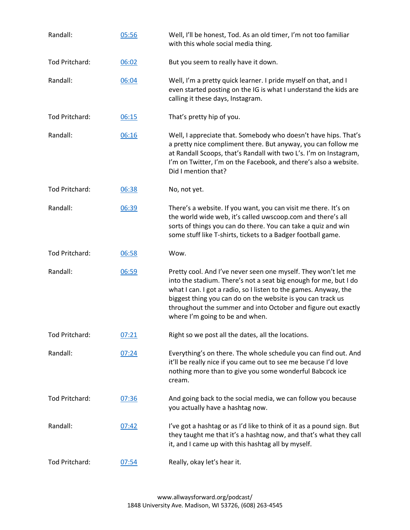| Randall:       | 05:56 | Well, I'll be honest, Tod. As an old timer, I'm not too familiar<br>with this whole social media thing.                                                                                                                                                                                                                                                                   |
|----------------|-------|---------------------------------------------------------------------------------------------------------------------------------------------------------------------------------------------------------------------------------------------------------------------------------------------------------------------------------------------------------------------------|
| Tod Pritchard: | 06:02 | But you seem to really have it down.                                                                                                                                                                                                                                                                                                                                      |
| Randall:       | 06:04 | Well, I'm a pretty quick learner. I pride myself on that, and I<br>even started posting on the IG is what I understand the kids are<br>calling it these days, Instagram.                                                                                                                                                                                                  |
| Tod Pritchard: | 06:15 | That's pretty hip of you.                                                                                                                                                                                                                                                                                                                                                 |
| Randall:       | 06:16 | Well, I appreciate that. Somebody who doesn't have hips. That's<br>a pretty nice compliment there. But anyway, you can follow me<br>at Randall Scoops, that's Randall with two L's. I'm on Instagram,<br>I'm on Twitter, I'm on the Facebook, and there's also a website.<br>Did I mention that?                                                                          |
| Tod Pritchard: | 06:38 | No, not yet.                                                                                                                                                                                                                                                                                                                                                              |
| Randall:       | 06:39 | There's a website. If you want, you can visit me there. It's on<br>the world wide web, it's called uwscoop.com and there's all<br>sorts of things you can do there. You can take a quiz and win<br>some stuff like T-shirts, tickets to a Badger football game.                                                                                                           |
| Tod Pritchard: | 06:58 | Wow.                                                                                                                                                                                                                                                                                                                                                                      |
| Randall:       | 06:59 | Pretty cool. And I've never seen one myself. They won't let me<br>into the stadium. There's not a seat big enough for me, but I do<br>what I can. I got a radio, so I listen to the games. Anyway, the<br>biggest thing you can do on the website is you can track us<br>throughout the summer and into October and figure out exactly<br>where I'm going to be and when. |
| Tod Pritchard: | 07:21 | Right so we post all the dates, all the locations.                                                                                                                                                                                                                                                                                                                        |
| Randall:       | 07:24 | Everything's on there. The whole schedule you can find out. And<br>it'll be really nice if you came out to see me because I'd love<br>nothing more than to give you some wonderful Babcock ice<br>cream.                                                                                                                                                                  |
| Tod Pritchard: | 07:36 | And going back to the social media, we can follow you because<br>you actually have a hashtag now.                                                                                                                                                                                                                                                                         |
| Randall:       | 07:42 | I've got a hashtag or as I'd like to think of it as a pound sign. But<br>they taught me that it's a hashtag now, and that's what they call<br>it, and I came up with this hashtag all by myself.                                                                                                                                                                          |
| Tod Pritchard: | 07:54 | Really, okay let's hear it.                                                                                                                                                                                                                                                                                                                                               |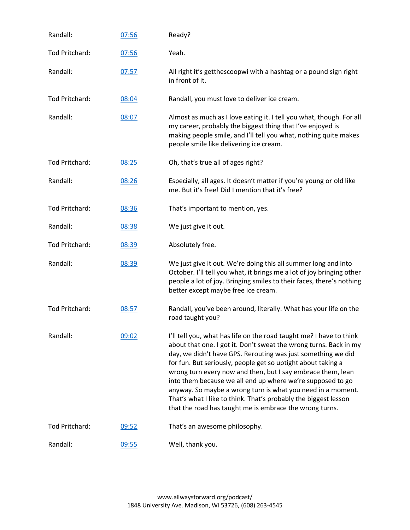| Randall:       | 07:56 | Ready?                                                                                                                                                                                                                                                                                                                                                                                                                                                                                                                                                                                             |
|----------------|-------|----------------------------------------------------------------------------------------------------------------------------------------------------------------------------------------------------------------------------------------------------------------------------------------------------------------------------------------------------------------------------------------------------------------------------------------------------------------------------------------------------------------------------------------------------------------------------------------------------|
| Tod Pritchard: | 07:56 | Yeah.                                                                                                                                                                                                                                                                                                                                                                                                                                                                                                                                                                                              |
| Randall:       | 07:57 | All right it's getthescoopwi with a hashtag or a pound sign right<br>in front of it.                                                                                                                                                                                                                                                                                                                                                                                                                                                                                                               |
| Tod Pritchard: | 08:04 | Randall, you must love to deliver ice cream.                                                                                                                                                                                                                                                                                                                                                                                                                                                                                                                                                       |
| Randall:       | 08:07 | Almost as much as I love eating it. I tell you what, though. For all<br>my career, probably the biggest thing that I've enjoyed is<br>making people smile, and I'll tell you what, nothing quite makes<br>people smile like delivering ice cream.                                                                                                                                                                                                                                                                                                                                                  |
| Tod Pritchard: | 08:25 | Oh, that's true all of ages right?                                                                                                                                                                                                                                                                                                                                                                                                                                                                                                                                                                 |
| Randall:       | 08:26 | Especially, all ages. It doesn't matter if you're young or old like<br>me. But it's free! Did I mention that it's free?                                                                                                                                                                                                                                                                                                                                                                                                                                                                            |
| Tod Pritchard: | 08:36 | That's important to mention, yes.                                                                                                                                                                                                                                                                                                                                                                                                                                                                                                                                                                  |
| Randall:       | 08:38 | We just give it out.                                                                                                                                                                                                                                                                                                                                                                                                                                                                                                                                                                               |
| Tod Pritchard: | 08:39 | Absolutely free.                                                                                                                                                                                                                                                                                                                                                                                                                                                                                                                                                                                   |
| Randall:       | 08:39 | We just give it out. We're doing this all summer long and into<br>October. I'll tell you what, it brings me a lot of joy bringing other<br>people a lot of joy. Bringing smiles to their faces, there's nothing<br>better except maybe free ice cream.                                                                                                                                                                                                                                                                                                                                             |
| Tod Pritchard: | 08:57 | Randall, you've been around, literally. What has your life on the<br>road taught you?                                                                                                                                                                                                                                                                                                                                                                                                                                                                                                              |
| Randall:       | 09:02 | I'll tell you, what has life on the road taught me? I have to think<br>about that one. I got it. Don't sweat the wrong turns. Back in my<br>day, we didn't have GPS. Rerouting was just something we did<br>for fun. But seriously, people get so uptight about taking a<br>wrong turn every now and then, but I say embrace them, lean<br>into them because we all end up where we're supposed to go<br>anyway. So maybe a wrong turn is what you need in a moment.<br>That's what I like to think. That's probably the biggest lesson<br>that the road has taught me is embrace the wrong turns. |
| Tod Pritchard: | 09:52 | That's an awesome philosophy.                                                                                                                                                                                                                                                                                                                                                                                                                                                                                                                                                                      |
| Randall:       | 09:55 | Well, thank you.                                                                                                                                                                                                                                                                                                                                                                                                                                                                                                                                                                                   |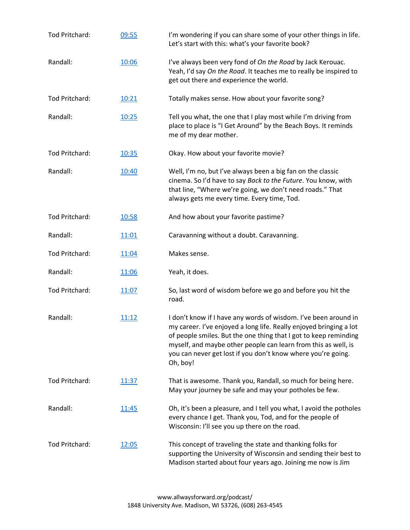| Tod Pritchard: | 09:55        | I'm wondering if you can share some of your other things in life.<br>Let's start with this: what's your favorite book?                                                                                                                                                                                                                                  |
|----------------|--------------|---------------------------------------------------------------------------------------------------------------------------------------------------------------------------------------------------------------------------------------------------------------------------------------------------------------------------------------------------------|
| Randall:       | 10:06        | I've always been very fond of On the Road by Jack Kerouac.<br>Yeah, I'd say On the Road. It teaches me to really be inspired to<br>get out there and experience the world.                                                                                                                                                                              |
| Tod Pritchard: | 10:21        | Totally makes sense. How about your favorite song?                                                                                                                                                                                                                                                                                                      |
| Randall:       | 10:25        | Tell you what, the one that I play most while I'm driving from<br>place to place is "I Get Around" by the Beach Boys. It reminds<br>me of my dear mother.                                                                                                                                                                                               |
| Tod Pritchard: | 10:35        | Okay. How about your favorite movie?                                                                                                                                                                                                                                                                                                                    |
| Randall:       | 10:40        | Well, I'm no, but I've always been a big fan on the classic<br>cinema. So I'd have to say Back to the Future. You know, with<br>that line, "Where we're going, we don't need roads." That<br>always gets me every time. Every time, Tod.                                                                                                                |
| Tod Pritchard: | 10:58        | And how about your favorite pastime?                                                                                                                                                                                                                                                                                                                    |
| Randall:       | 11:01        | Caravanning without a doubt. Caravanning.                                                                                                                                                                                                                                                                                                               |
| Tod Pritchard: | 11:04        | Makes sense.                                                                                                                                                                                                                                                                                                                                            |
| Randall:       | 11:06        | Yeah, it does.                                                                                                                                                                                                                                                                                                                                          |
| Tod Pritchard: | 11:07        | So, last word of wisdom before we go and before you hit the<br>road.                                                                                                                                                                                                                                                                                    |
| Randall:       | 11:12        | I don't know if I have any words of wisdom. I've been around in<br>my career. I've enjoyed a long life. Really enjoyed bringing a lot<br>of people smiles. But the one thing that I got to keep reminding<br>myself, and maybe other people can learn from this as well, is<br>you can never get lost if you don't know where you're going.<br>Oh, boy! |
| Tod Pritchard: | 11:37        | That is awesome. Thank you, Randall, so much for being here.<br>May your journey be safe and may your potholes be few.                                                                                                                                                                                                                                  |
| Randall:       | <u>11:45</u> | Oh, it's been a pleasure, and I tell you what, I avoid the potholes<br>every chance I get. Thank you, Tod, and for the people of<br>Wisconsin: I'll see you up there on the road.                                                                                                                                                                       |
| Tod Pritchard: | 12:05        | This concept of traveling the state and thanking folks for<br>supporting the University of Wisconsin and sending their best to<br>Madison started about four years ago. Joining me now is Jim                                                                                                                                                           |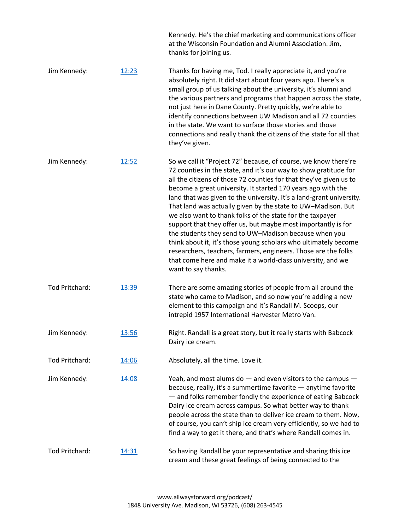|                |       | Kennedy. He's the chief marketing and communications officer<br>at the Wisconsin Foundation and Alumni Association. Jim,<br>thanks for joining us.                                                                                                                                                                                                                                                                                                                                                                                                                                                                                                                                                                                                                                                                                  |
|----------------|-------|-------------------------------------------------------------------------------------------------------------------------------------------------------------------------------------------------------------------------------------------------------------------------------------------------------------------------------------------------------------------------------------------------------------------------------------------------------------------------------------------------------------------------------------------------------------------------------------------------------------------------------------------------------------------------------------------------------------------------------------------------------------------------------------------------------------------------------------|
| Jim Kennedy:   | 12:23 | Thanks for having me, Tod. I really appreciate it, and you're<br>absolutely right. It did start about four years ago. There's a<br>small group of us talking about the university, it's alumni and<br>the various partners and programs that happen across the state,<br>not just here in Dane County. Pretty quickly, we're able to<br>identify connections between UW Madison and all 72 counties<br>in the state. We want to surface those stories and those<br>connections and really thank the citizens of the state for all that<br>they've given.                                                                                                                                                                                                                                                                            |
| Jim Kennedy:   | 12:52 | So we call it "Project 72" because, of course, we know there're<br>72 counties in the state, and it's our way to show gratitude for<br>all the citizens of those 72 counties for that they've given us to<br>become a great university. It started 170 years ago with the<br>land that was given to the university. It's a land-grant university.<br>That land was actually given by the state to UW-Madison. But<br>we also want to thank folks of the state for the taxpayer<br>support that they offer us, but maybe most importantly is for<br>the students they send to UW-Madison because when you<br>think about it, it's those young scholars who ultimately become<br>researchers, teachers, farmers, engineers. Those are the folks<br>that come here and make it a world-class university, and we<br>want to say thanks. |
| Tod Pritchard: | 13:39 | There are some amazing stories of people from all around the<br>state who came to Madison, and so now you're adding a new<br>element to this campaign and it's Randall M. Scoops, our<br>intrepid 1957 International Harvester Metro Van.                                                                                                                                                                                                                                                                                                                                                                                                                                                                                                                                                                                           |
| Jim Kennedy:   | 13:56 | Right. Randall is a great story, but it really starts with Babcock<br>Dairy ice cream.                                                                                                                                                                                                                                                                                                                                                                                                                                                                                                                                                                                                                                                                                                                                              |
| Tod Pritchard: | 14:06 | Absolutely, all the time. Love it.                                                                                                                                                                                                                                                                                                                                                                                                                                                                                                                                                                                                                                                                                                                                                                                                  |
| Jim Kennedy:   | 14:08 | Yeah, and most alums do $-$ and even visitors to the campus $-$<br>because, really, it's a summertime favorite - anytime favorite<br>- and folks remember fondly the experience of eating Babcock<br>Dairy ice cream across campus. So what better way to thank<br>people across the state than to deliver ice cream to them. Now,<br>of course, you can't ship ice cream very efficiently, so we had to<br>find a way to get it there, and that's where Randall comes in.                                                                                                                                                                                                                                                                                                                                                          |
| Tod Pritchard: | 14:31 | So having Randall be your representative and sharing this ice<br>cream and these great feelings of being connected to the                                                                                                                                                                                                                                                                                                                                                                                                                                                                                                                                                                                                                                                                                                           |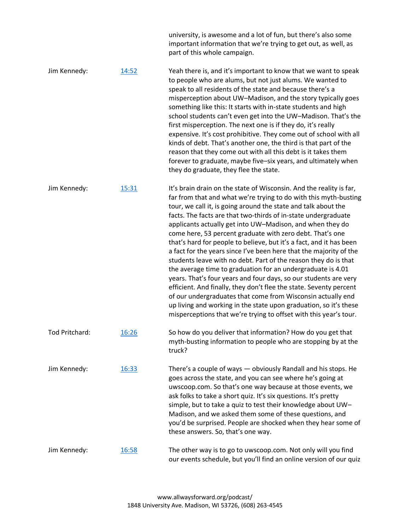|                |               | university, is awesome and a lot of fun, but there's also some<br>important information that we're trying to get out, as well, as<br>part of this whole campaign.                                                                                                                                                                                                                                                                                                                                                                                                                                                                                                                                                                                                                                                                                                                                                                                                                                                                       |
|----------------|---------------|-----------------------------------------------------------------------------------------------------------------------------------------------------------------------------------------------------------------------------------------------------------------------------------------------------------------------------------------------------------------------------------------------------------------------------------------------------------------------------------------------------------------------------------------------------------------------------------------------------------------------------------------------------------------------------------------------------------------------------------------------------------------------------------------------------------------------------------------------------------------------------------------------------------------------------------------------------------------------------------------------------------------------------------------|
| Jim Kennedy:   | 14:52         | Yeah there is, and it's important to know that we want to speak<br>to people who are alums, but not just alums. We wanted to<br>speak to all residents of the state and because there's a<br>misperception about UW-Madison, and the story typically goes<br>something like this: It starts with in-state students and high<br>school students can't even get into the UW-Madison. That's the<br>first misperception. The next one is if they do, it's really<br>expensive. It's cost prohibitive. They come out of school with all<br>kinds of debt. That's another one, the third is that part of the<br>reason that they come out with all this debt is it takes them<br>forever to graduate, maybe five-six years, and ultimately when<br>they do graduate, they flee the state.                                                                                                                                                                                                                                                    |
| Jim Kennedy:   | 15:31         | It's brain drain on the state of Wisconsin. And the reality is far,<br>far from that and what we're trying to do with this myth-busting<br>tour, we call it, is going around the state and talk about the<br>facts. The facts are that two-thirds of in-state undergraduate<br>applicants actually get into UW-Madison, and when they do<br>come here, 53 percent graduate with zero debt. That's one<br>that's hard for people to believe, but it's a fact, and it has been<br>a fact for the years since I've been here that the majority of the<br>students leave with no debt. Part of the reason they do is that<br>the average time to graduation for an undergraduate is 4.01<br>years. That's four years and four days, so our students are very<br>efficient. And finally, they don't flee the state. Seventy percent<br>of our undergraduates that come from Wisconsin actually end<br>up living and working in the state upon graduation, so it's these<br>misperceptions that we're trying to offset with this year's tour. |
| Tod Pritchard: | <u> 16:26</u> | So how do you deliver that information? How do you get that<br>myth-busting information to people who are stopping by at the<br>truck?                                                                                                                                                                                                                                                                                                                                                                                                                                                                                                                                                                                                                                                                                                                                                                                                                                                                                                  |
| Jim Kennedy:   | 16:33         | There's a couple of ways - obviously Randall and his stops. He<br>goes across the state, and you can see where he's going at<br>uwscoop.com. So that's one way because at those events, we<br>ask folks to take a short quiz. It's six questions. It's pretty<br>simple, but to take a quiz to test their knowledge about UW-<br>Madison, and we asked them some of these questions, and<br>you'd be surprised. People are shocked when they hear some of<br>these answers. So, that's one way.                                                                                                                                                                                                                                                                                                                                                                                                                                                                                                                                         |
| Jim Kennedy:   | 16:58         | The other way is to go to uwscoop.com. Not only will you find<br>our events schedule, but you'll find an online version of our quiz                                                                                                                                                                                                                                                                                                                                                                                                                                                                                                                                                                                                                                                                                                                                                                                                                                                                                                     |